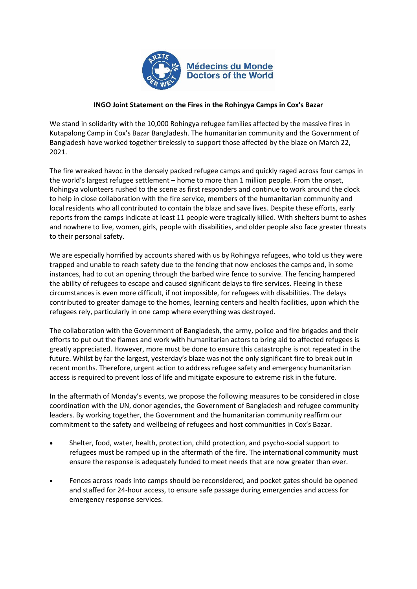

## **INGO Joint Statement on the Fires in the Rohingya Camps in Cox's Bazar**

We stand in solidarity with the 10,000 Rohingya refugee families affected by the massive fires in Kutapalong Camp in Cox's Bazar Bangladesh. The humanitarian community and the Government of Bangladesh have worked together tirelessly to support those affected by the blaze on March 22, 2021.

The fire wreaked havoc in the densely packed refugee camps and quickly raged across four camps in the world's largest refugee settlement – home to more than 1 million people. From the onset, Rohingya volunteers rushed to the scene as first responders and continue to work around the clock to help in close collaboration with the fire service, members of the humanitarian community and local residents who all contributed to contain the blaze and save lives. Despite these efforts, early reports from the camps indicate at least 11 people were tragically killed. With shelters burnt to ashes and nowhere to live, women, girls, people with disabilities, and older people also face greater threats to their personal safety.

We are especially horrified by accounts shared with us by Rohingya refugees, who told us they were trapped and unable to reach safety due to the fencing that now encloses the camps and, in some instances, had to cut an opening through the barbed wire fence to survive. The fencing hampered the ability of refugees to escape and caused significant delays to fire services. Fleeing in these circumstances is even more difficult, if not impossible, for refugees with disabilities. The delays contributed to greater damage to the homes, learning centers and health facilities, upon which the refugees rely, particularly in one camp where everything was destroyed.

The collaboration with the Government of Bangladesh, the army, police and fire brigades and their efforts to put out the flames and work with humanitarian actors to bring aid to affected refugees is greatly appreciated. However, more must be done to ensure this catastrophe is not repeated in the future. Whilst by far the largest, yesterday's blaze was not the only significant fire to break out in recent months. Therefore, urgent action to address refugee safety and emergency humanitarian access is required to prevent loss of life and mitigate exposure to extreme risk in the future.

In the aftermath of Monday's events, we propose the following measures to be considered in close coordination with the UN, donor agencies, the Government of Bangladesh and refugee community leaders. By working together, the Government and the humanitarian community reaffirm our commitment to the safety and wellbeing of refugees and host communities in Cox's Bazar.

- Shelter, food, water, health, protection, child protection, and psycho-social support to refugees must be ramped up in the aftermath of the fire. The international community must ensure the response is adequately funded to meet needs that are now greater than ever.
- Fences across roads into camps should be reconsidered, and pocket gates should be opened and staffed for 24-hour access, to ensure safe passage during emergencies and access for emergency response services.